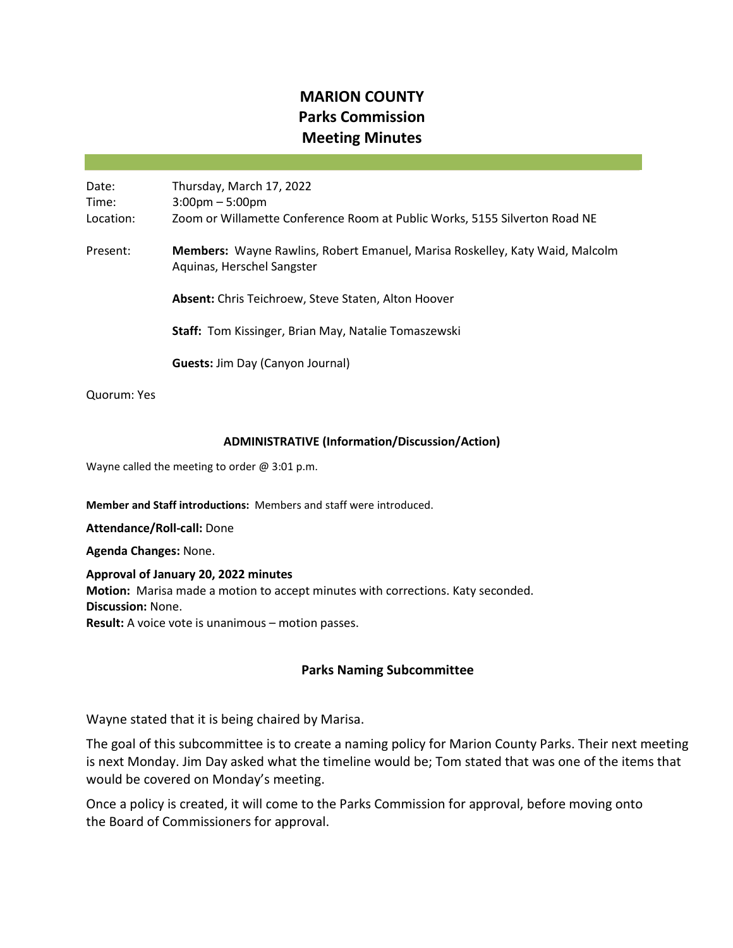# **MARION COUNTY Parks Commission Meeting Minutes**

Date: Thursday, March 17, 2022 Time: 3:00pm – 5:00pm Location: Zoom or Willamette Conference Room at Public Works, 5155 Silverton Road NE Present: **Members:** Wayne Rawlins, Robert Emanuel, Marisa Roskelley, Katy Waid, Malcolm Aquinas, Herschel Sangster **Absent:** Chris Teichroew, Steve Staten, Alton Hoover **Staff:** Tom Kissinger, Brian May, Natalie Tomaszewski **Guests:** Jim Day (Canyon Journal)

Quorum: Yes

### **ADMINISTRATIVE (Information/Discussion/Action)**

Wayne called the meeting to order @ 3:01 p.m.

**Member and Staff introductions:** Members and staff were introduced.

**Attendance/Roll-call:** Done

**Agenda Changes:** None.

**Approval of January 20, 2022 minutes Motion:** Marisa made a motion to accept minutes with corrections. Katy seconded. **Discussion:** None. **Result:** A voice vote is unanimous – motion passes.

**Parks Naming Subcommittee**

Wayne stated that it is being chaired by Marisa.

The goal of this subcommittee is to create a naming policy for Marion County Parks. Their next meeting is next Monday. Jim Day asked what the timeline would be; Tom stated that was one of the items that would be covered on Monday's meeting.

Once a policy is created, it will come to the Parks Commission for approval, before moving onto the Board of Commissioners for approval.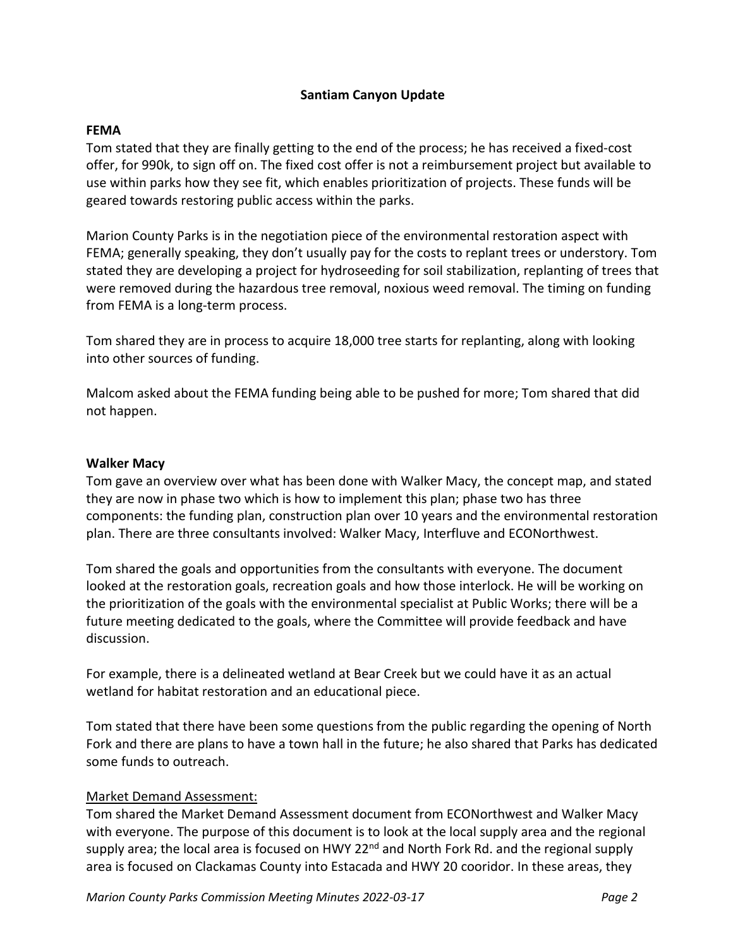# **Santiam Canyon Update**

### **FEMA**

Tom stated that they are finally getting to the end of the process; he has received a fixed-cost offer, for 990k, to sign off on. The fixed cost offer is not a reimbursement project but available to use within parks how they see fit, which enables prioritization of projects. These funds will be geared towards restoring public access within the parks.

Marion County Parks is in the negotiation piece of the environmental restoration aspect with FEMA; generally speaking, they don't usually pay for the costs to replant trees or understory. Tom stated they are developing a project for hydroseeding for soil stabilization, replanting of trees that were removed during the hazardous tree removal, noxious weed removal. The timing on funding from FEMA is a long-term process.

Tom shared they are in process to acquire 18,000 tree starts for replanting, along with looking into other sources of funding.

Malcom asked about the FEMA funding being able to be pushed for more; Tom shared that did not happen.

### **Walker Macy**

Tom gave an overview over what has been done with Walker Macy, the concept map, and stated they are now in phase two which is how to implement this plan; phase two has three components: the funding plan, construction plan over 10 years and the environmental restoration plan. There are three consultants involved: Walker Macy, Interfluve and ECONorthwest.

Tom shared the goals and opportunities from the consultants with everyone. The document looked at the restoration goals, recreation goals and how those interlock. He will be working on the prioritization of the goals with the environmental specialist at Public Works; there will be a future meeting dedicated to the goals, where the Committee will provide feedback and have discussion.

For example, there is a delineated wetland at Bear Creek but we could have it as an actual wetland for habitat restoration and an educational piece.

Tom stated that there have been some questions from the public regarding the opening of North Fork and there are plans to have a town hall in the future; he also shared that Parks has dedicated some funds to outreach.

## Market Demand Assessment:

Tom shared the Market Demand Assessment document from ECONorthwest and Walker Macy with everyone. The purpose of this document is to look at the local supply area and the regional supply area; the local area is focused on HWY 22<sup>nd</sup> and North Fork Rd. and the regional supply area is focused on Clackamas County into Estacada and HWY 20 cooridor. In these areas, they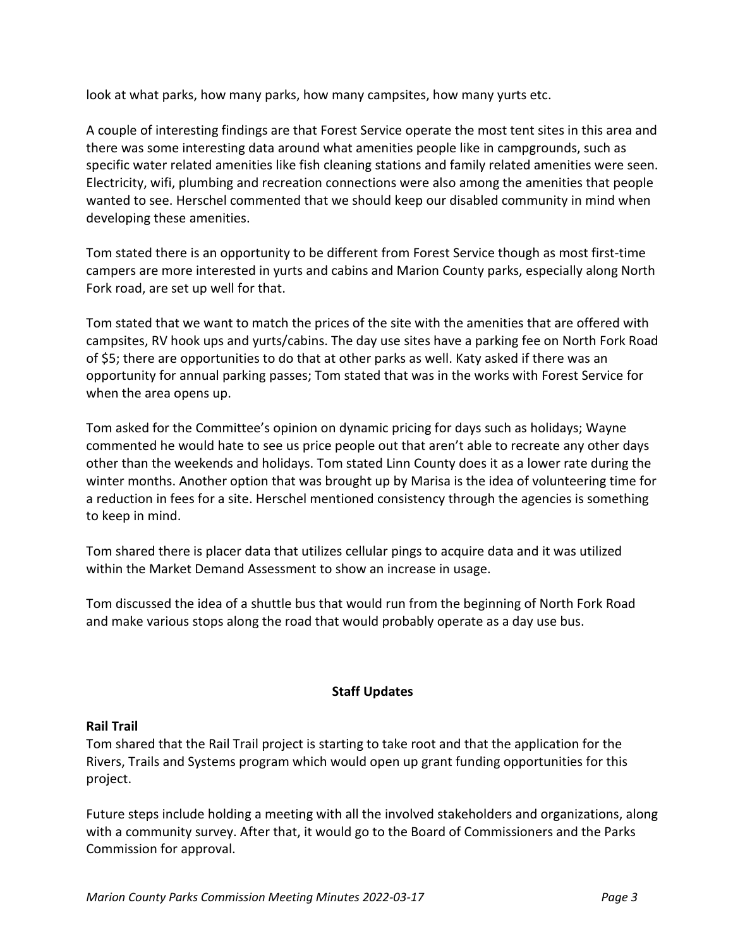look at what parks, how many parks, how many campsites, how many yurts etc.

A couple of interesting findings are that Forest Service operate the most tent sites in this area and there was some interesting data around what amenities people like in campgrounds, such as specific water related amenities like fish cleaning stations and family related amenities were seen. Electricity, wifi, plumbing and recreation connections were also among the amenities that people wanted to see. Herschel commented that we should keep our disabled community in mind when developing these amenities.

Tom stated there is an opportunity to be different from Forest Service though as most first-time campers are more interested in yurts and cabins and Marion County parks, especially along North Fork road, are set up well for that.

Tom stated that we want to match the prices of the site with the amenities that are offered with campsites, RV hook ups and yurts/cabins. The day use sites have a parking fee on North Fork Road of \$5; there are opportunities to do that at other parks as well. Katy asked if there was an opportunity for annual parking passes; Tom stated that was in the works with Forest Service for when the area opens up.

Tom asked for the Committee's opinion on dynamic pricing for days such as holidays; Wayne commented he would hate to see us price people out that aren't able to recreate any other days other than the weekends and holidays. Tom stated Linn County does it as a lower rate during the winter months. Another option that was brought up by Marisa is the idea of volunteering time for a reduction in fees for a site. Herschel mentioned consistency through the agencies is something to keep in mind.

Tom shared there is placer data that utilizes cellular pings to acquire data and it was utilized within the Market Demand Assessment to show an increase in usage.

Tom discussed the idea of a shuttle bus that would run from the beginning of North Fork Road and make various stops along the road that would probably operate as a day use bus.

# **Staff Updates**

# **Rail Trail**

Tom shared that the Rail Trail project is starting to take root and that the application for the Rivers, Trails and Systems program which would open up grant funding opportunities for this project.

Future steps include holding a meeting with all the involved stakeholders and organizations, along with a community survey. After that, it would go to the Board of Commissioners and the Parks Commission for approval.